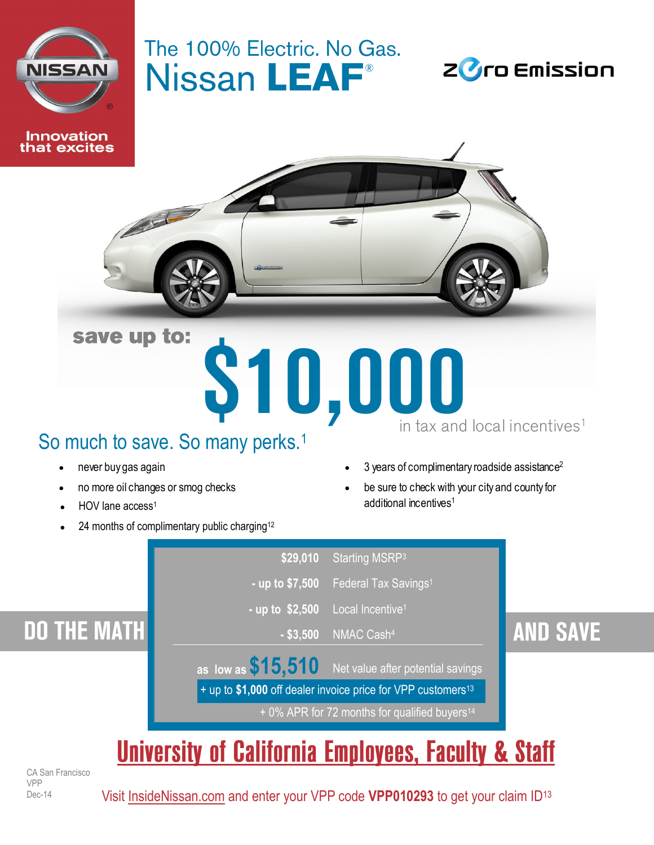

at excites

## The 100% Electric. No Gas. Nissan LEAF<sup>®</sup>





## So much to save. So many perks.<sup>1</sup>

- 
- 
- HOV lane access<sup>1</sup>
- 24 months of complimentary public charging<sup>12</sup>
- never buy gas again **3** years of complimentary roadside assistance<sup>2</sup>
- no more oil changes or smog checks **be sure to check with your city and county for** additional incentives<sup>1</sup>



# **University of California Employees, Faculty & Staff**

CA San Francisco VPP Dec-14

Visit [InsideNissan.com](http://www.insidenissan.com) and enter your VPP code **VPP010293** to get your claim ID<sup>13</sup>